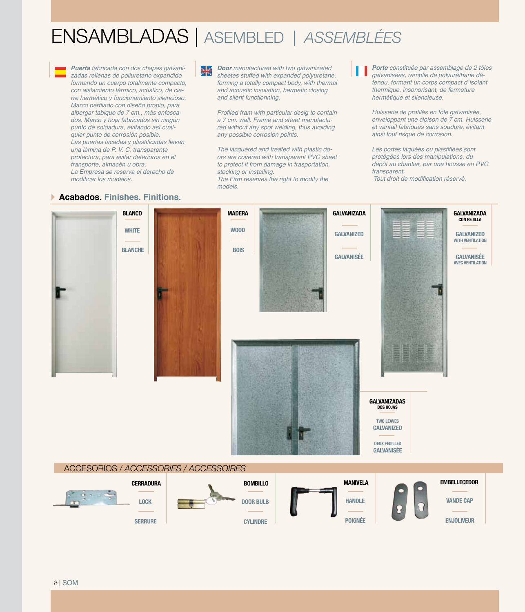# ENSAMBLADAS | ASEMBLED *| ASSEMBLÉES*



**Puerta** fabricada con dos chapas galvanizadas rellenas de poliuretano expandido formando un cuerpo totalmente compacto, con aislamiento térmico, acústico, de cierre hermético y funcionamiento silencioso. Marco perfilado con diseño propio, para albergar tabique de 7 cm., más enfoscados. Marco y hoja fabricados sin ningún punto de soldadura, evitando así cualquier punto de corrosión posible. Las puertas lacadas y plastificadas llevan una lámina de P. V. C. transparente protectora, para evitar deterioros en el transporte, almacén u obra. La Empresa se reserva el derecho de modificar los modelos.

**Door** manufactured with two galvanizated sheetes stuffed with expanded polyuretane, forming a totally compact body, with thermal and acoustic insulation, hermetic closing and silent functionning.

Profiled fram with particular desig to contain a 7 cm. wall. Frame and sheet manufactured without any spot welding, thus avoiding any possible corrosion points.

The lacquered and treated with plastic doors are covered with transparent PVC sheet to protect it from damage in trasportation, stocking or installing. The Firm reserves the right to modify the

models.

**Porte** constituée par assemblage de 2 tôles galvanisées, remplie de polyuréthane détendu, formant un corps compact d´isolant thermique, insonorisant, de fermeture hermétique et silencieuse.

Huisserie de profilés en tôle galvanisée, enveloppant une cloison de 7 cm. Huisserie et vantail fabriqués sans soudure, évitant ainsi tout risque de corrosion.

Les portes laquées ou plastifiées sont protégées lors des manipulations, du dépôt au chantier, par une housse en PVC transparent.

Tout droit de modification réservé.

### **Acabados. Finishes. Finitions.**